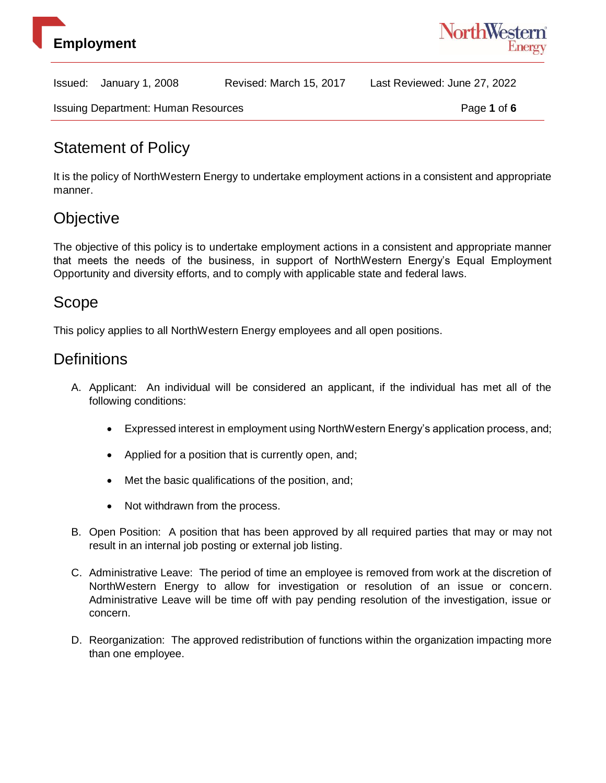



Issuing Department: Human Resources **Page 1** of 6

## Statement of Policy

It is the policy of NorthWestern Energy to undertake employment actions in a consistent and appropriate manner.

# **Objective**

The objective of this policy is to undertake employment actions in a consistent and appropriate manner that meets the needs of the business, in support of NorthWestern Energy's Equal Employment Opportunity and diversity efforts, and to comply with applicable state and federal laws.

#### Scope

This policy applies to all NorthWestern Energy employees and all open positions.

#### **Definitions**

- A. Applicant: An individual will be considered an applicant, if the individual has met all of the following conditions:
	- Expressed interest in employment using NorthWestern Energy's application process, and;
	- Applied for a position that is currently open, and;
	- Met the basic qualifications of the position, and;
	- Not withdrawn from the process.
- B. Open Position: A position that has been approved by all required parties that may or may not result in an internal job posting or external job listing.
- C. Administrative Leave: The period of time an employee is removed from work at the discretion of NorthWestern Energy to allow for investigation or resolution of an issue or concern. Administrative Leave will be time off with pay pending resolution of the investigation, issue or concern.
- D. Reorganization: The approved redistribution of functions within the organization impacting more than one employee.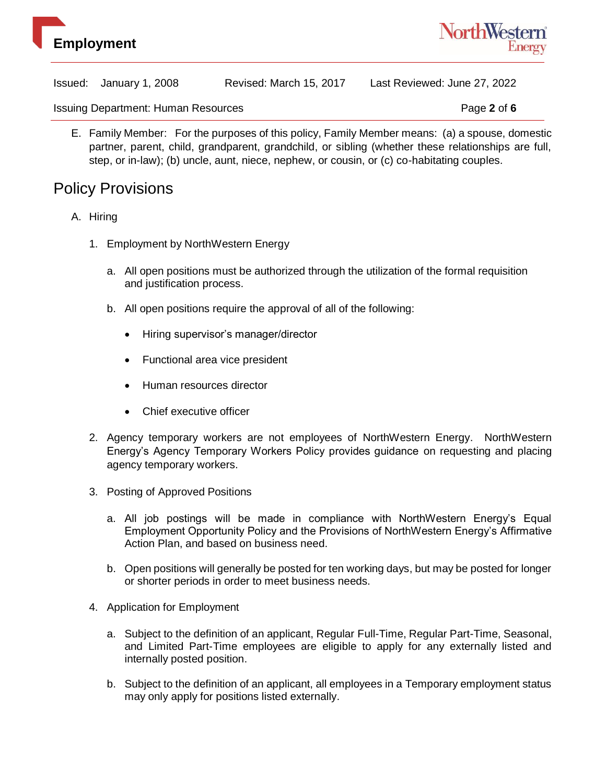



Issuing Department: Human Resources **Page 2** of 6

E. Family Member: For the purposes of this policy, Family Member means: (a) a spouse, domestic partner, parent, child, grandparent, grandchild, or sibling (whether these relationships are full, step, or in-law); (b) uncle, aunt, niece, nephew, or cousin, or (c) co-habitating couples.

#### Policy Provisions

- A. Hiring
	- 1. Employment by NorthWestern Energy
		- a. All open positions must be authorized through the utilization of the formal requisition and justification process.
		- b. All open positions require the approval of all of the following:
			- Hiring supervisor's manager/director
			- Functional area vice president
			- Human resources director
			- Chief executive officer
	- 2. Agency temporary workers are not employees of NorthWestern Energy. NorthWestern Energy's Agency Temporary Workers Policy provides guidance on requesting and placing agency temporary workers.
	- 3. Posting of Approved Positions
		- a. All job postings will be made in compliance with NorthWestern Energy's Equal Employment Opportunity Policy and the Provisions of NorthWestern Energy's Affirmative Action Plan, and based on business need.
		- b. Open positions will generally be posted for ten working days, but may be posted for longer or shorter periods in order to meet business needs.
	- 4. Application for Employment
		- a. Subject to the definition of an applicant, Regular Full-Time, Regular Part-Time, Seasonal, and Limited Part-Time employees are eligible to apply for any externally listed and internally posted position.
		- b. Subject to the definition of an applicant, all employees in a Temporary employment status may only apply for positions listed externally.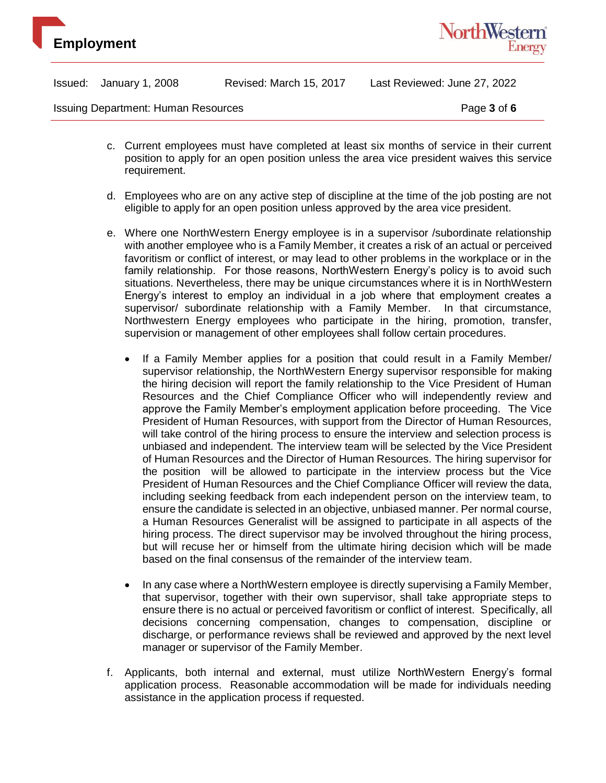



Issuing Department: Human Resources **Page 3** of 6

- c. Current employees must have completed at least six months of service in their current position to apply for an open position unless the area vice president waives this service requirement.
- d. Employees who are on any active step of discipline at the time of the job posting are not eligible to apply for an open position unless approved by the area vice president.
- e. Where one NorthWestern Energy employee is in a supervisor /subordinate relationship with another employee who is a Family Member, it creates a risk of an actual or perceived favoritism or conflict of interest, or may lead to other problems in the workplace or in the family relationship. For those reasons, NorthWestern Energy's policy is to avoid such situations. Nevertheless, there may be unique circumstances where it is in NorthWestern Energy's interest to employ an individual in a job where that employment creates a supervisor/ subordinate relationship with a Family Member. In that circumstance, Northwestern Energy employees who participate in the hiring, promotion, transfer, supervision or management of other employees shall follow certain procedures.
	- If a Family Member applies for a position that could result in a Family Member/ supervisor relationship, the NorthWestern Energy supervisor responsible for making the hiring decision will report the family relationship to the Vice President of Human Resources and the Chief Compliance Officer who will independently review and approve the Family Member's employment application before proceeding. The Vice President of Human Resources, with support from the Director of Human Resources, will take control of the hiring process to ensure the interview and selection process is unbiased and independent. The interview team will be selected by the Vice President of Human Resources and the Director of Human Resources. The hiring supervisor for the position will be allowed to participate in the interview process but the Vice President of Human Resources and the Chief Compliance Officer will review the data, including seeking feedback from each independent person on the interview team, to ensure the candidate is selected in an objective, unbiased manner. Per normal course, a Human Resources Generalist will be assigned to participate in all aspects of the hiring process. The direct supervisor may be involved throughout the hiring process, but will recuse her or himself from the ultimate hiring decision which will be made based on the final consensus of the remainder of the interview team.
	- In any case where a NorthWestern employee is directly supervising a Family Member, that supervisor, together with their own supervisor, shall take appropriate steps to ensure there is no actual or perceived favoritism or conflict of interest. Specifically, all decisions concerning compensation, changes to compensation, discipline or discharge, or performance reviews shall be reviewed and approved by the next level manager or supervisor of the Family Member.
- f. Applicants, both internal and external, must utilize NorthWestern Energy's formal application process. Reasonable accommodation will be made for individuals needing assistance in the application process if requested.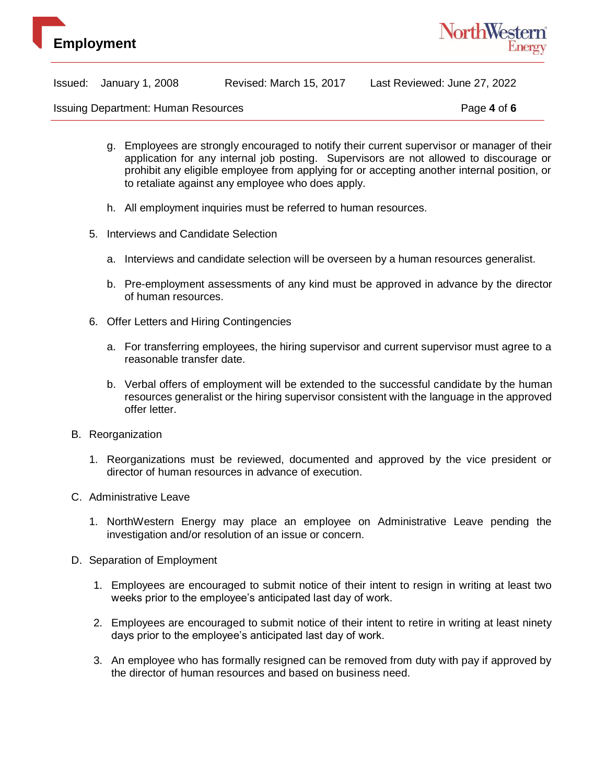



|  | Issued: January 1, 2008 | Revised: March 15, 2017 | Last Reviewed: June 27, 2022 |
|--|-------------------------|-------------------------|------------------------------|
|--|-------------------------|-------------------------|------------------------------|

Issuing Department: Human Resources **Page 4** of 6

- g. Employees are strongly encouraged to notify their current supervisor or manager of their application for any internal job posting. Supervisors are not allowed to discourage or prohibit any eligible employee from applying for or accepting another internal position, or to retaliate against any employee who does apply.
- h. All employment inquiries must be referred to human resources.
- 5. Interviews and Candidate Selection
	- a. Interviews and candidate selection will be overseen by a human resources generalist.
	- b. Pre-employment assessments of any kind must be approved in advance by the director of human resources.
- 6. Offer Letters and Hiring Contingencies
	- a. For transferring employees, the hiring supervisor and current supervisor must agree to a reasonable transfer date.
	- b. Verbal offers of employment will be extended to the successful candidate by the human resources generalist or the hiring supervisor consistent with the language in the approved offer letter.
- B. Reorganization
	- 1. Reorganizations must be reviewed, documented and approved by the vice president or director of human resources in advance of execution.
- C. Administrative Leave
	- 1. NorthWestern Energy may place an employee on Administrative Leave pending the investigation and/or resolution of an issue or concern.
- D. Separation of Employment
	- 1. Employees are encouraged to submit notice of their intent to resign in writing at least two weeks prior to the employee's anticipated last day of work.
	- 2. Employees are encouraged to submit notice of their intent to retire in writing at least ninety days prior to the employee's anticipated last day of work.
	- 3. An employee who has formally resigned can be removed from duty with pay if approved by the director of human resources and based on business need.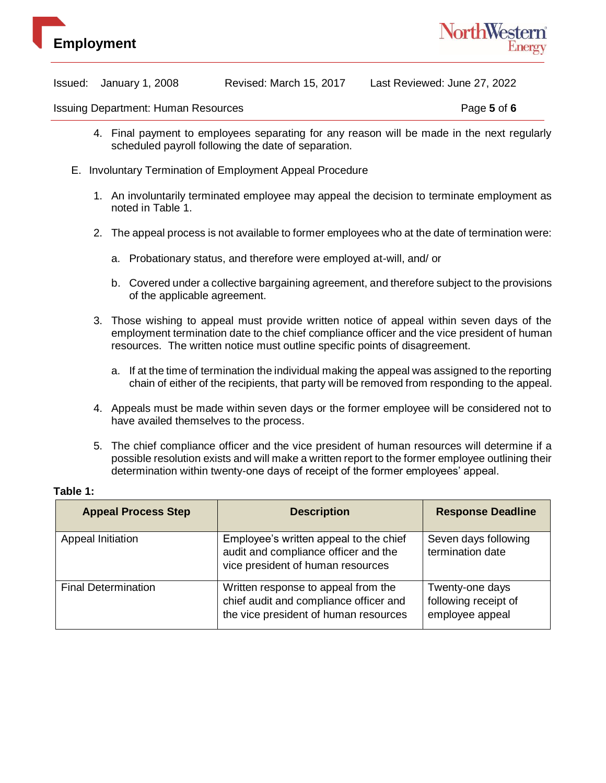



Issuing Department: Human Resources **Page 5** of 6

- 4. Final payment to employees separating for any reason will be made in the next regularly scheduled payroll following the date of separation.
- E. Involuntary Termination of Employment Appeal Procedure
	- 1. An involuntarily terminated employee may appeal the decision to terminate employment as noted in Table 1.
	- 2. The appeal process is not available to former employees who at the date of termination were:
		- a. Probationary status, and therefore were employed at-will, and/ or
		- b. Covered under a collective bargaining agreement, and therefore subject to the provisions of the applicable agreement.
	- 3. Those wishing to appeal must provide written notice of appeal within seven days of the employment termination date to the chief compliance officer and the vice president of human resources. The written notice must outline specific points of disagreement.
		- a. If at the time of termination the individual making the appeal was assigned to the reporting chain of either of the recipients, that party will be removed from responding to the appeal.
	- 4. Appeals must be made within seven days or the former employee will be considered not to have availed themselves to the process.
	- 5. The chief compliance officer and the vice president of human resources will determine if a possible resolution exists and will make a written report to the former employee outlining their determination within twenty-one days of receipt of the former employees' appeal.

#### **Table 1:**

| <b>Appeal Process Step</b> | <b>Description</b>                                                                                                     | <b>Response Deadline</b>                                   |
|----------------------------|------------------------------------------------------------------------------------------------------------------------|------------------------------------------------------------|
| Appeal Initiation          | Employee's written appeal to the chief<br>audit and compliance officer and the<br>vice president of human resources    | Seven days following<br>termination date                   |
| <b>Final Determination</b> | Written response to appeal from the<br>chief audit and compliance officer and<br>the vice president of human resources | Twenty-one days<br>following receipt of<br>employee appeal |